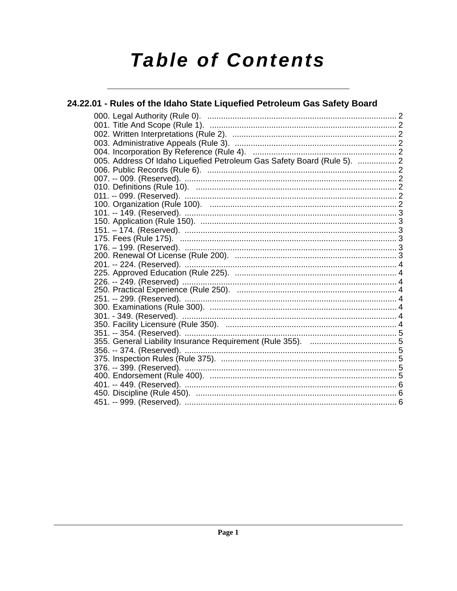# **Table of Contents**

#### 24.22.01 - Rules of the Idaho State Liquefied Petroleum Gas Safety Board 005. Address Of Idaho Liquefied Petroleum Gas Safety Board (Rule 5). .................. 2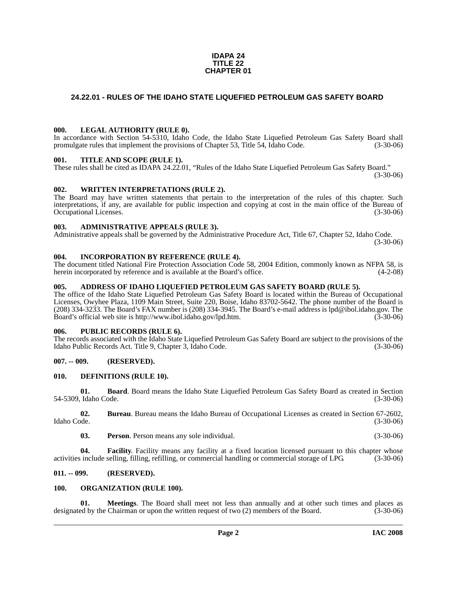#### **IDAPA 24 TITLE 22 CHAPTER 01**

#### <span id="page-1-0"></span>**24.22.01 - RULES OF THE IDAHO STATE LIQUEFIED PETROLEUM GAS SAFETY BOARD**

#### <span id="page-1-1"></span>**000. LEGAL AUTHORITY (RULE 0).**

In accordance with Section 54-5310, Idaho Code, the Idaho State Liquefied Petroleum Gas Safety Board shall promulgate rules that implement the provisions of Chapter 53, Title 54, Idaho Code. (3-30-06)

#### <span id="page-1-2"></span>**001. TITLE AND SCOPE (RULE 1).**

These rules shall be cited as IDAPA 24.22.01, "Rules of the Idaho State Liquefied Petroleum Gas Safety Board."  $(3-30-06)$ 

#### <span id="page-1-3"></span>**002. WRITTEN INTERPRETATIONS (RULE 2).**

The Board may have written statements that pertain to the interpretation of the rules of this chapter. Such interpretations, if any, are available for public inspection and copying at cost in the main office of the Bureau of Occupational Licenses. (3-30-06)

#### <span id="page-1-4"></span>**003. ADMINISTRATIVE APPEALS (RULE 3).**

Administrative appeals shall be governed by the Administrative Procedure Act, Title 67, Chapter 52, Idaho Code. (3-30-06)

#### <span id="page-1-5"></span>**004. INCORPORATION BY REFERENCE (RULE 4).**

The document titled National Fire Protection Association Code 58, 2004 Edition, commonly known as NFPA 58, is herein incorporated by reference and is available at the Board's office. (4-2-08)

#### <span id="page-1-6"></span>**005. ADDRESS OF IDAHO LIQUEFIED PETROLEUM GAS SAFETY BOARD (RULE 5).**

[The office of the Idaho State Liquefied Petroleum Gas Safety Board is located within the Bureau of Occupational](mailto:lpd@ibol.idaho.gov)  Licenses, Owyhee Plaza, 1109 Main Street, Suite 220, Boise, Idaho 83702-5642. The phone number of the Board is (208) 334-3233. The Board's FAX number is (208) 334-3945. The Board's e-mail address is lpd@ibol.idaho.gov. The [Board's official web site is](mailto:lpd@ibol.idaho.gov) [http://www.ibol.idaho.gov/lpd.htm. \(3-30-06\)](http://www.ibol.idaho.gov/lpd.htm)

#### <span id="page-1-7"></span>**006. PUBLIC RECORDS (RULE 6).**

The records associated with the Idaho State Liquefied Petroleum Gas Safety Board are subject to the provisions of the Idaho Public Records Act. Title 9, Chapter 3, Idaho Code. (3-30-06)

#### <span id="page-1-8"></span>**007. -- 009. (RESERVED).**

#### <span id="page-1-12"></span><span id="page-1-9"></span>**010. DEFINITIONS (RULE 10).**

**01. Board**. Board means the Idaho State Liquefied Petroleum Gas Safety Board as created in Section 54-5309, Idaho Code. (3-30-06)

**02. Bureau**. Bureau means the Idaho Bureau of Occupational Licenses as created in Section 67-2602, Idaho Code. (3-30-06)

**03. Person**. Person means any sole individual. (3-30-06)

**04. Facility**. Facility means any facility at a fixed location licensed pursuant to this chapter whose activities include selling, filling, refilling, or commercial handling or commercial storage of LPG. (3-30-06)

#### <span id="page-1-10"></span>**011. -- 099. (RESERVED).**

#### <span id="page-1-14"></span><span id="page-1-11"></span>**100. ORGANIZATION (RULE 100).**

<span id="page-1-13"></span>**01. Meetings**. The Board shall meet not less than annually and at other such times and places as designated by the Chairman or upon the written request of two (2) members of the Board. (3-30-06)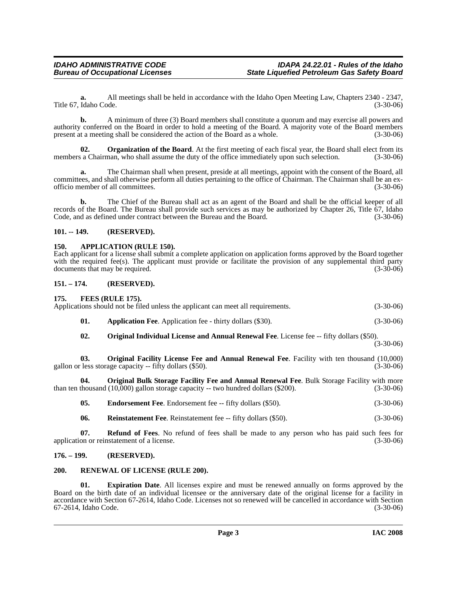**a.** All meetings shall be held in accordance with the Idaho Open Meeting Law, Chapters 2340 - 2347, Title 67, Idaho Code. (3-30-06)

**b.** A minimum of three (3) Board members shall constitute a quorum and may exercise all powers and authority conferred on the Board in order to hold a meeting of the Board. A majority vote of the Board members present at a meeting shall be considered the action of the Board as a whole.

<span id="page-2-11"></span>**02.** Organization of the Board. At the first meeting of each fiscal year, the Board shall elect from its members a Chairman, who shall assume the duty of the office immediately upon such selection. (3-30-06)

**a.** The Chairman shall when present, preside at all meetings, appoint with the consent of the Board, all committees, and shall otherwise perform all duties pertaining to the office of Chairman. The Chairman shall be an exofficio member of all committees. (3-30-06)

**b.** The Chief of the Bureau shall act as an agent of the Board and shall be the official keeper of all records of the Board. The Bureau shall provide such services as may be authorized by Chapter 26, Title 67, Idaho Code, and as defined under contract between the Bureau and the Board. (3-30-06)

#### <span id="page-2-0"></span>**101. -- 149. (RESERVED).**

#### <span id="page-2-7"></span><span id="page-2-1"></span>**150. APPLICATION (RULE 150).**

Each applicant for a license shall submit a complete application on application forms approved by the Board together with the required fee(s). The applicant must provide or facilitate the provision of any supplemental third party documents that may be required. (3-30-06)

#### <span id="page-2-2"></span>**151. – 174. (RESERVED). 175. FEES (RULE 175).**

<span id="page-2-14"></span><span id="page-2-10"></span><span id="page-2-6"></span><span id="page-2-3"></span>

| 02.          | <b>Original Individual License and Annual Renewal Fee.</b> License fee -- fifty dollars (\$50).      |             |
|--------------|------------------------------------------------------------------------------------------------------|-------------|
| 01.          | <b>Application Fee.</b> Application fee - thirty dollars (\$30).                                     | $(3-30-06)$ |
| $\Gamma/5$ . | FEES (RULE 175).<br>Applications should not be filed unless the applicant can meet all requirements. | $(3-30-06)$ |

(3-30-06)

<span id="page-2-13"></span>**03. Original Facility License Fee and Annual Renewal Fee**. Facility with ten thousand (10,000) less storage capacity -- fifty dollars (\$50). gallon or less storage capacity  $-$  fifty dollars  $(\$50)$ .

**04. Original Bulk Storage Facility Fee and Annual Renewal Fee**. Bulk Storage Facility with more than ten thousand (10,000) gallon storage capacity -- two hundred dollars (\$200). (3-30-06)

<span id="page-2-12"></span><span id="page-2-8"></span>**05. Endorsement Fee**. Endorsement fee -- fifty dollars (\$50). (3-30-06)

<span id="page-2-15"></span>**06.** Reinstatement Fee. Reinstatement fee -- fifty dollars (\$50). (3-30-06)

**07. Refund of Fees**. No refund of fees shall be made to any person who has paid such fees for application or reinstatement of a license. (3-30-06)

#### <span id="page-2-4"></span>**176. – 199. (RESERVED).**

#### <span id="page-2-16"></span><span id="page-2-5"></span>**200. RENEWAL OF LICENSE (RULE 200).**

<span id="page-2-9"></span>**01. Expiration Date**. All licenses expire and must be renewed annually on forms approved by the Board on the birth date of an individual licensee or the anniversary date of the original license for a facility in accordance with Section 67-2614, Idaho Code. Licenses not so renewed will be cancelled in accordance with Section 67-2614, Idaho Code. (3-30-06)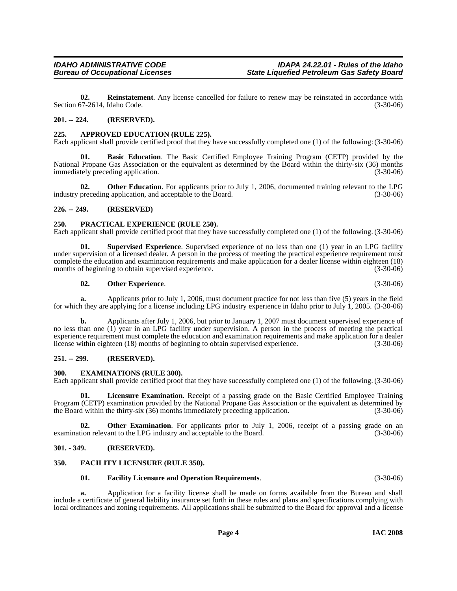<span id="page-3-15"></span>**02. Reinstatement**. Any license cancelled for failure to renew may be reinstated in accordance with Section 67-2614, Idaho Code. (3-30-06)

#### <span id="page-3-0"></span>**201. -- 224. (RESERVED).**

#### <span id="page-3-8"></span><span id="page-3-1"></span>**225. APPROVED EDUCATION (RULE 225).**

Each applicant shall provide certified proof that they have successfully completed one (1) of the following: (3-30-06)

<span id="page-3-9"></span>**Basic Education**. The Basic Certified Employee Training Program (CETP) provided by the National Propane Gas Association or the equivalent as determined by the Board within the thirty-six (36) months immediately preceding application. (3-30-06)

**02. Other Education**. For applicants prior to July 1, 2006, documented training relevant to the LPG industry preceding application, and acceptable to the Board. (3-30-06)

#### <span id="page-3-2"></span>**226. -- 249. (RESERVED)**

#### <span id="page-3-14"></span><span id="page-3-3"></span>**250. PRACTICAL EXPERIENCE (RULE 250).**

Each applicant shall provide certified proof that they have successfully completed one (1) of the following. (3-30-06)

**01. Supervised Experience**. Supervised experience of no less than one (1) year in an LPG facility under supervision of a licensed dealer. A person in the process of meeting the practical experience requirement must complete the education and examination requirements and make application for a dealer license within eighteen (18) months of beginning to obtain supervised experience. (3-30-06) (3-30-06)

#### <span id="page-3-16"></span><span id="page-3-13"></span>**02. Other Experience**. (3-30-06)

**a.** Applicants prior to July 1, 2006, must document practice for not less than five (5) years in the field for which they are applying for a license including LPG industry experience in Idaho prior to July 1, 2005. (3-30-06)

**b.** Applicants after July 1, 2006, but prior to January 1, 2007 must document supervised experience of no less than one (1) year in an LPG facility under supervision. A person in the process of meeting the practical experience requirement must complete the education and examination requirements and make application for a dealer<br>license within eighteen (18) months of beginning to obtain supervised experience. (3-30-06) license within eighteen (18) months of beginning to obtain supervised experience.

#### <span id="page-3-4"></span>**251. -- 299. (RESERVED).**

#### <span id="page-3-10"></span><span id="page-3-5"></span>**300. EXAMINATIONS (RULE 300).**

Each applicant shall provide certified proof that they have successfully completed one (1) of the following. (3-30-06)

**01. Licensure Examination**. Receipt of a passing grade on the Basic Certified Employee Training Program (CETP) examination provided by the National Propane Gas Association or the equivalent as determined by the Board within the thirty-six (36) months immediately preceding application. (3-30-06) the Board within the thirty-six  $(36)$  months immediately preceding application.

**02.** Other Examination. For applicants prior to July 1, 2006, receipt of a passing grade on an examination relevant to the LPG industry and acceptable to the Board. (3-30-06)

#### <span id="page-3-6"></span>**301. - 349. (RESERVED).**

#### <span id="page-3-7"></span>**350. FACILITY LICENSURE (RULE 350).**

#### <span id="page-3-12"></span><span id="page-3-11"></span>**01. Facility Licensure and Operation Requirements**. (3-30-06)

**a.** Application for a facility license shall be made on forms available from the Bureau and shall include a certificate of general liability insurance set forth in these rules and plans and specifications complying with local ordinances and zoning requirements. All applications shall be submitted to the Board for approval and a license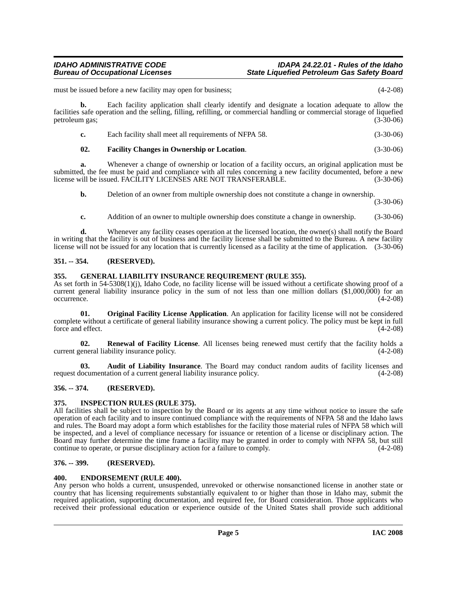must be issued before a new facility may open for business; (4-2-08)

**b.** Each facility application shall clearly identify and designate a location adequate to allow the facilities safe operation and the selling, filling, refilling, or commercial handling or commercial storage of liquefied petroleum gas; (3-30-06)

| c. | Each facility shall meet all requirements of NFPA 58. | $(3-30-06)$ |
|----|-------------------------------------------------------|-------------|
|----|-------------------------------------------------------|-------------|

#### <span id="page-4-8"></span>**02. Facility Changes in Ownership or Location**. (3-30-06)

**a.** Whenever a change of ownership or location of a facility occurs, an original application must be submitted, the fee must be paid and compliance with all rules concerning a new facility documented, before a new<br>license will be issued. FACILITY LICENSES ARE NOT TRANSFERABLE. (3-30-06) license will be issued. FACILITY LICENSES ARE NOT TRANSFERABLE.

**b.** Deletion of an owner from multiple ownership does not constitute a change in ownership.

(3-30-06)

**c.** Addition of an owner to multiple ownership does constitute a change in ownership. (3-30-06)

**d.** Whenever any facility ceases operation at the licensed location, the owner(s) shall notify the Board in writing that the facility is out of business and the facility license shall be submitted to the Bureau. A new facility license will not be issued for any location that is currently licensed as a facility at the time of application. (3-30-06)

#### <span id="page-4-0"></span>**351. -- 354. (RESERVED).**

#### <span id="page-4-9"></span><span id="page-4-1"></span>**355. GENERAL LIABILITY INSURANCE REQUIREMENT (RULE 355).**

As set forth in 54-5308(1)(j), Idaho Code, no facility license will be issued without a certificate showing proof of a current general liability insurance policy in the sum of not less than one million dollars (\$1,000,000) for an occurrence. (4-2-08) occurrence. (4-2-08)

<span id="page-4-11"></span>**01. Original Facility License Application**. An application for facility license will not be considered complete without a certificate of general liability insurance showing a current policy. The policy must be kept in full force and effect. (4-2-08)

<span id="page-4-12"></span>**02. Renewal of Facility License**. All licenses being renewed must certify that the facility holds a current general liability insurance policy. (4-2-08)

<span id="page-4-6"></span>**03. Audit of Liability Insurance**. The Board may conduct random audits of facility licenses and request documentation of a current general liability insurance policy. (4-2-08)

### <span id="page-4-2"></span>**356. -- 374. (RESERVED).**

#### <span id="page-4-10"></span><span id="page-4-3"></span>**375. INSPECTION RULES (RULE 375).**

All facilities shall be subject to inspection by the Board or its agents at any time without notice to insure the safe operation of each facility and to insure continued compliance with the requirements of NFPA 58 and the Idaho laws and rules. The Board may adopt a form which establishes for the facility those material rules of NFPA 58 which will be inspected, and a level of compliance necessary for issuance or retention of a license or disciplinary action. The Board may further determine the time frame a facility may be granted in order to comply with NFPA 58, but still continue to operate, or pursue disciplinary action for a failure to comply. (4-2-08)

#### <span id="page-4-4"></span>**376. -- 399. (RESERVED).**

#### <span id="page-4-7"></span><span id="page-4-5"></span>**400. ENDORSEMENT (RULE 400).**

Any person who holds a current, unsuspended, unrevoked or otherwise nonsanctioned license in another state or country that has licensing requirements substantially equivalent to or higher than those in Idaho may, submit the required application, supporting documentation, and required fee, for Board consideration. Those applicants who received their professional education or experience outside of the United States shall provide such additional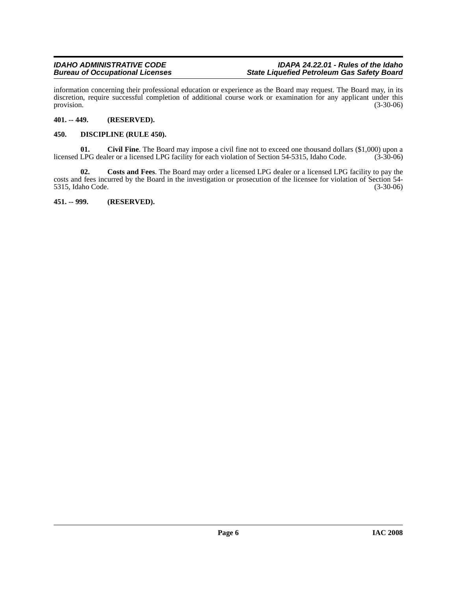information concerning their professional education or experience as the Board may request. The Board may, in its discretion, require successful completion of additional course work or examination for any applicant under this provision.  $(3-30-06)$ 

#### <span id="page-5-0"></span>**401. -- 449. (RESERVED).**

#### <span id="page-5-1"></span>**450. DISCIPLINE (RULE 450).**

**01.** Civil Fine. The Board may impose a civil fine not to exceed one thousand dollars (\$1,000) upon a LPG dealer or a licensed LPG facility for each violation of Section 54-5315, Idaho Code. (3-30-06) licensed LPG dealer or a licensed LPG facility for each violation of Section 54-5315, Idaho Code.

**02. Costs and Fees**. The Board may order a licensed LPG dealer or a licensed LPG facility to pay the costs and fees incurred by the Board in the investigation or prosecution of the licensee for violation of Section 54- 5315, Idaho Code. (3-30-06)

<span id="page-5-2"></span>**451. -- 999. (RESERVED).**